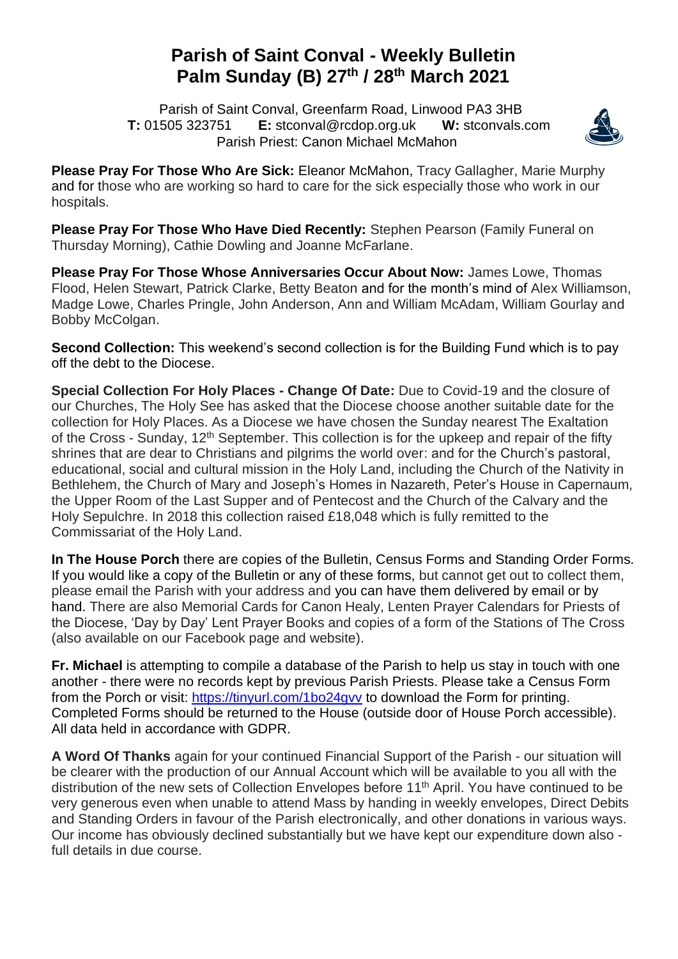## **Parish of Saint Conval - Weekly Bulletin Palm Sunday (B) 27 th / 28 th March 2021**

 Parish of Saint Conval, Greenfarm Road, Linwood PA3 3HB **T:** 01505 323751 **E:** [stconval@rcdop.org.uk](mailto:stconval@rcdop.org.uk) **W:** stconvals.com Parish Priest: Canon Michael McMahon



**Please Pray For Those Who Are Sick:** Eleanor McMahon, Tracy Gallagher, Marie Murphy and for those who are working so hard to care for the sick especially those who work in our hospitals.

**Please Pray For Those Who Have Died Recently:** Stephen Pearson (Family Funeral on Thursday Morning), Cathie Dowling and Joanne McFarlane.

**Please Pray For Those Whose Anniversaries Occur About Now:** James Lowe, Thomas Flood, Helen Stewart, Patrick Clarke, Betty Beaton and for the month's mind of Alex Williamson, Madge Lowe, Charles Pringle, John Anderson, Ann and William McAdam, William Gourlay and Bobby McColgan.

**Second Collection:** This weekend's second collection is for the Building Fund which is to pay off the debt to the Diocese.

**Special Collection For Holy Places - Change Of Date:** Due to Covid-19 and the closure of our Churches, The Holy See has asked that the Diocese choose another suitable date for the collection for Holy Places. As a Diocese we have chosen the Sunday nearest The Exaltation of the Cross - Sunday, 12<sup>th</sup> September. This collection is for the upkeep and repair of the fifty shrines that are dear to Christians and pilgrims the world over: and for the Church's pastoral, educational, social and cultural mission in the Holy Land, including the Church of the Nativity in Bethlehem, the Church of Mary and Joseph's Homes in Nazareth, Peter's House in Capernaum, the Upper Room of the Last Supper and of Pentecost and the Church of the Calvary and the Holy Sepulchre. In 2018 this collection raised £18,048 which is fully remitted to the Commissariat of the Holy Land.

**In The House Porch** there are copies of the Bulletin, Census Forms and Standing Order Forms. If you would like a copy of the Bulletin or any of these forms, but cannot get out to collect them, please email the Parish with your address and you can have them delivered by email or by hand. There are also Memorial Cards for Canon Healy, Lenten Prayer Calendars for Priests of the Diocese, 'Day by Day' Lent Prayer Books and copies of a form of the Stations of The Cross (also available on our Facebook page and website).

**Fr. Michael** is attempting to compile a database of the Parish to help us stay in touch with one another - there were no records kept by previous Parish Priests. Please take a Census Form from the Porch or visit:<https://tinyurl.com/1bo24gvv> to download the Form for printing. Completed Forms should be returned to the House (outside door of House Porch accessible). All data held in accordance with GDPR.

**A Word Of Thanks** again for your continued Financial Support of the Parish - our situation will be clearer with the production of our Annual Account which will be available to you all with the distribution of the new sets of Collection Envelopes before 11<sup>th</sup> April. You have continued to be very generous even when unable to attend Mass by handing in weekly envelopes, Direct Debits and Standing Orders in favour of the Parish electronically, and other donations in various ways. Our income has obviously declined substantially but we have kept our expenditure down also full details in due course.